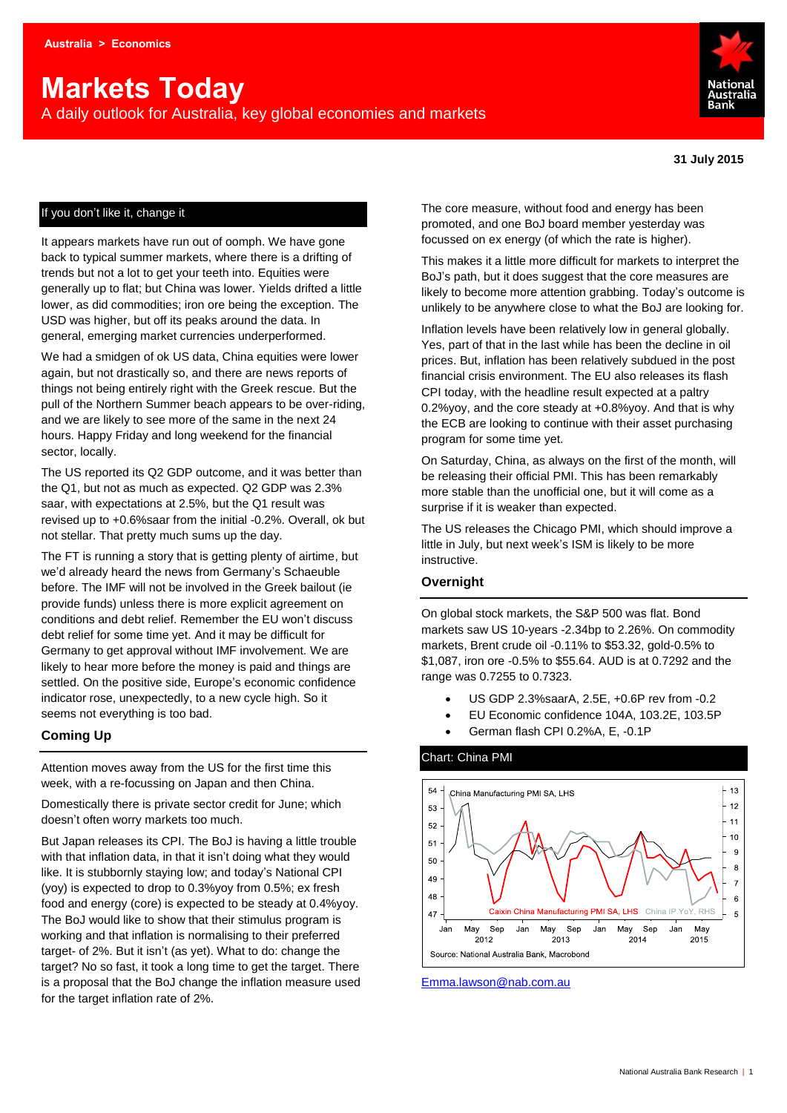# **Markets Today**

A daily outlook for Australia, key global economies and markets



#### If you don't like it, change it

It appears markets have run out of oomph. We have gone back to typical summer markets, where there is a drifting of trends but not a lot to get your teeth into. Equities were generally up to flat; but China was lower. Yields drifted a little lower, as did commodities; iron ore being the exception. The USD was higher, but off its peaks around the data. In general, emerging market currencies underperformed.

We had a smidgen of ok US data, China equities were lower again, but not drastically so, and there are news reports of things not being entirely right with the Greek rescue. But the pull of the Northern Summer beach appears to be over-riding, and we are likely to see more of the same in the next 24 hours. Happy Friday and long weekend for the financial sector, locally.

The US reported its Q2 GDP outcome, and it was better than the Q1, but not as much as expected. Q2 GDP was 2.3% saar, with expectations at 2.5%, but the Q1 result was revised up to +0.6%saar from the initial -0.2%. Overall, ok but not stellar. That pretty much sums up the day.

The FT is running a story that is getting plenty of airtime, but we'd already heard the news from Germany's Schaeuble before. The IMF will not be involved in the Greek bailout (ie provide funds) unless there is more explicit agreement on conditions and debt relief. Remember the EU won't discuss debt relief for some time yet. And it may be difficult for Germany to get approval without IMF involvement. We are likely to hear more before the money is paid and things are settled. On the positive side, Europe's economic confidence indicator rose, unexpectedly, to a new cycle high. So it seems not everything is too bad.

#### **Coming Up**

Attention moves away from the US for the first time this week, with a re-focussing on Japan and then China.

Domestically there is private sector credit for June; which doesn't often worry markets too much.

But Japan releases its CPI. The BoJ is having a little trouble with that inflation data, in that it isn't doing what they would like. It is stubbornly staying low; and today's National CPI (yoy) is expected to drop to 0.3%yoy from 0.5%; ex fresh food and energy (core) is expected to be steady at 0.4%yoy. The BoJ would like to show that their stimulus program is working and that inflation is normalising to their preferred target- of 2%. But it isn't (as yet). What to do: change the target? No so fast, it took a long time to get the target. There is a proposal that the BoJ change the inflation measure used for the target inflation rate of 2%.

The core measure, without food and energy has been promoted, and one BoJ board member yesterday was focussed on ex energy (of which the rate is higher).

This makes it a little more difficult for markets to interpret the BoJ's path, but it does suggest that the core measures are likely to become more attention grabbing. Today's outcome is unlikely to be anywhere close to what the BoJ are looking for.

Inflation levels have been relatively low in general globally. Yes, part of that in the last while has been the decline in oil prices. But, inflation has been relatively subdued in the post financial crisis environment. The EU also releases its flash CPI today, with the headline result expected at a paltry 0.2%yoy, and the core steady at +0.8%yoy. And that is why the ECB are looking to continue with their asset purchasing program for some time yet.

On Saturday, China, as always on the first of the month, will be releasing their official PMI. This has been remarkably more stable than the unofficial one, but it will come as a surprise if it is weaker than expected.

The US releases the Chicago PMI, which should improve a little in July, but next week's ISM is likely to be more instructive.

#### **Overnight**

On global stock markets, the S&P 500 was flat. Bond markets saw US 10-years -2.34bp to 2.26%. On commodity markets, Brent crude oil -0.11% to \$53.32, gold-0.5% to \$1,087, iron ore -0.5% to \$55.64. AUD is at 0.7292 and the range was 0.7255 to 0.7323.

- US GDP 2.3%saarA, 2.5E, +0.6P rev from -0.2
- EU Economic confidence 104A, 103.2E, 103.5P
- German flash CPI 0.2%A, E, -0.1P



[Emma.lawson@nab.com.au](mailto:Emma.lawson@nab.com.au)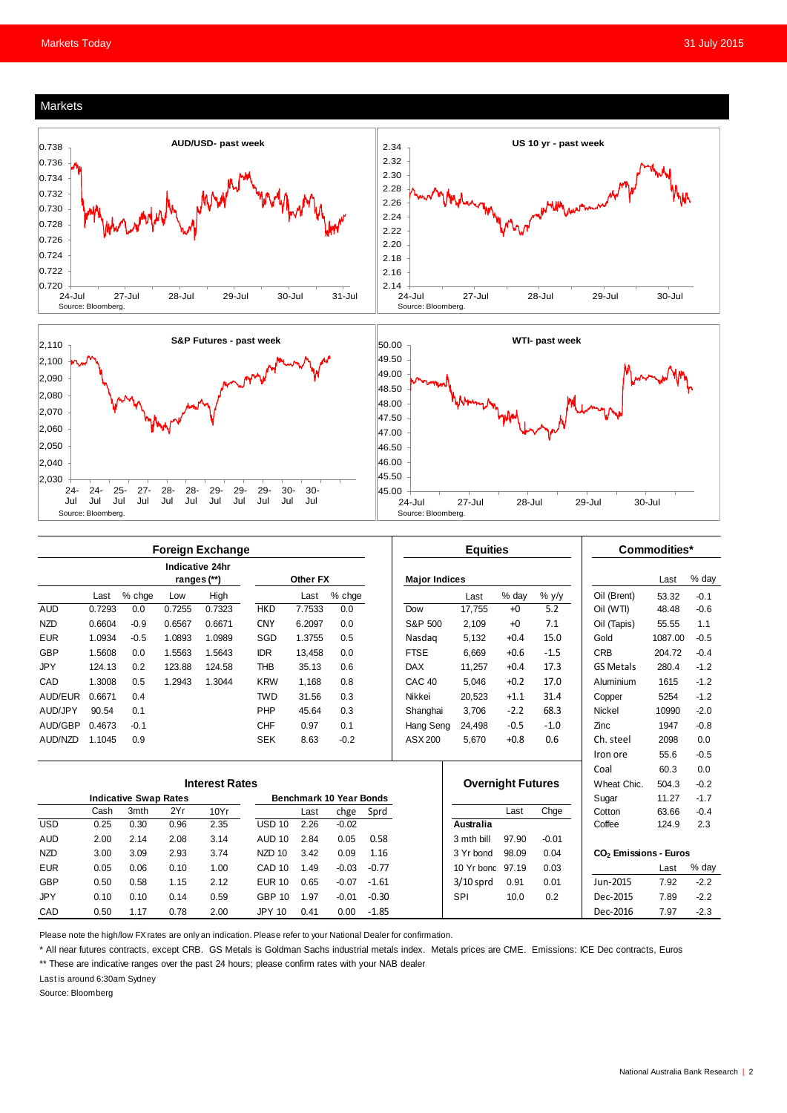#### Markets





|                       | <b>Foreign Exchange</b>        |        |        |        |                                |        |         |         | <b>Equities</b>          |                    |        |             | Commodities*     |                                   |        |
|-----------------------|--------------------------------|--------|--------|--------|--------------------------------|--------|---------|---------|--------------------------|--------------------|--------|-------------|------------------|-----------------------------------|--------|
|                       | Indicative 24hr<br>ranges (**) |        |        |        | Other FX                       |        |         |         | <b>Major Indices</b>     |                    |        |             |                  | Last                              | % day  |
|                       | Last                           | % chge | Low    | High   |                                | Last   | % chge  |         |                          | Last               | % day  | $%$ y/y     | Oil (Brent)      | 53.32                             | $-0.1$ |
| <b>AUD</b>            | 0.7293                         | 0.0    | 0.7255 | 0.7323 | <b>HKD</b>                     | 7.7533 | 0.0     |         | Dow                      | 17.755             | $+0$   | 5.2         | Oil (WTI)        | 48.48                             | $-0.6$ |
| <b>NZD</b>            | 0.6604                         | $-0.9$ | 0.6567 | 0.6671 | <b>CNY</b>                     | 6.2097 | 0.0     |         | S&P 500                  | 2.109              | $+0$   | 7.1         | Oil (Tapis)      | 55.55                             | 1.1    |
| <b>EUR</b>            | 1.0934                         | $-0.5$ | 1.0893 | 1.0989 | SGD                            | 1.3755 | 0.5     |         | Nasdag                   | 5.132              | $+0.4$ | 15.0        | Gold             | 1087.00                           | $-0.5$ |
| <b>GBP</b>            | 1.5608                         | 0.0    | 1.5563 | 1.5643 | <b>IDR</b>                     | 13.458 | 0.0     |         | <b>FTSE</b>              | 6.669              | $+0.6$ | $-1.5$      | <b>CRB</b>       | 204.72                            | $-0.4$ |
| <b>JPY</b>            | 124.13                         | 0.2    | 123.88 | 124.58 | <b>THB</b>                     | 35.13  | 0.6     |         | <b>DAX</b>               | 11.257             | $+0.4$ | 17.3        | <b>GS Metals</b> | 280.4                             | $-1.2$ |
| CAD                   | 1.3008                         | 0.5    | 1.2943 | 1.3044 | <b>KRW</b>                     | 1.168  | 0.8     |         | CAC <sub>40</sub>        | 5.046              | $+0.2$ | 17.0        | Aluminium        | 1615                              | $-1.2$ |
| AUD/EUR               | 0.6671                         | 0.4    |        |        | <b>TWD</b>                     | 31.56  | 0.3     |         | Nikkei                   | 20,523             | $+1.1$ | 31.4        | Copper           | 5254                              | $-1.2$ |
| AUD/JPY               | 90.54                          | 0.1    |        |        | PHP                            | 45.64  | 0.3     |         | Shanghai                 | 3,706              | $-2.2$ | 68.3        | Nickel           | 10990                             | $-2.0$ |
| AUD/GBP               | 0.4673                         | $-0.1$ |        |        | <b>CHF</b>                     | 0.97   | 0.1     |         | Hang Seng                | 24.498             | $-0.5$ | $-1.0$      | Zinc             | 1947                              | $-0.8$ |
| AUD/NZD               | 1.1045                         | 0.9    |        |        | <b>SEK</b>                     | 8.63   | $-0.2$  |         | ASX 200                  | 5.670              | $+0.8$ | 0.6         | Ch. steel        | 2098                              | 0.0    |
|                       |                                |        |        |        |                                |        |         |         |                          |                    |        |             | Iron ore         | 55.6                              | $-0.5$ |
|                       |                                |        |        |        |                                |        |         |         |                          |                    |        |             | Coal             | 60.3                              | 0.0    |
| <b>Interest Rates</b> |                                |        |        |        |                                |        |         |         | <b>Overnight Futures</b> |                    |        | Wheat Chic. | 504.3            | $-0.2$                            |        |
|                       | <b>Indicative Swap Rates</b>   |        |        |        | <b>Benchmark 10 Year Bonds</b> |        |         |         |                          |                    |        | Sugar       | 11.27            | $-1.7$                            |        |
|                       | Cash                           | 3mth   | 2Yr    | 10Yr   |                                | Last   | chge    | Sprd    |                          |                    | Last   | Chge        | Cotton           | 63.66                             | $-0.4$ |
| <b>USD</b>            | 0.25                           | 0.30   | 0.96   | 2.35   | $USD$ 10                       | 2.26   | $-0.02$ |         |                          | Australia          |        |             | Coffee           | 124.9                             | 2.3    |
| <b>AUD</b>            | 2.00                           | 2.14   | 2.08   | 3.14   | <b>AUD 10</b>                  | 2.84   | 0.05    | 0.58    |                          | 3 mth bill         | 97.90  | $-0.01$     |                  |                                   |        |
| <b>NZD</b>            | 3.00                           | 3.09   | 2.93   | 3.74   | NZD <sub>10</sub>              | 3.42   | 0.09    | 1.16    |                          | 98.09<br>3 Yr bond |        | 0.04        |                  | CO <sub>2</sub> Emissions - Euros |        |
| <b>EUR</b>            | 0.05                           | 0.06   | 0.10   | 1.00   | CAD <sub>10</sub>              | 1.49   | $-0.03$ | $-0.77$ |                          | 10 Yr bond         | 97.19  | 0.03        |                  | Last                              | % day  |
| <b>GBP</b>            | 0.50                           | 0.58   | 1.15   | 2.12   | <b>EUR 10</b>                  | 0.65   | $-0.07$ | $-1.61$ |                          | $3/10$ sprd        | 0.91   | 0.01        | Jun-2015         | 7.92                              | $-2.2$ |
| <b>JPY</b>            | 0.10                           | 0.10   | 0.14   | 0.59   | <b>GBP 10</b>                  | 1.97   | $-0.01$ | $-0.30$ |                          | SPI                | 10.0   | 0.2         | Dec-2015         | 7.89                              | $-2.2$ |
| CAD                   | 0.50                           | 1.17   | 0.78   | 2.00   | <b>JPY 10</b>                  | 0.41   | 0.00    | $-1.85$ |                          |                    |        |             | Dec-2016         | 7.97                              | $-2.3$ |

Please note the high/low FX rates are only an indication. Please refer to your National Dealer for confirmation.

\* All near futures contracts, except CRB. GS Metals is Goldman Sachs industrial metals index. Metals prices are CME. Emissions: ICE Dec contracts, Euros

\*\* These are indicative ranges over the past 24 hours; please confirm rates with your NAB dealer

Last is around 6:30am Sydney

Source: Bloomberg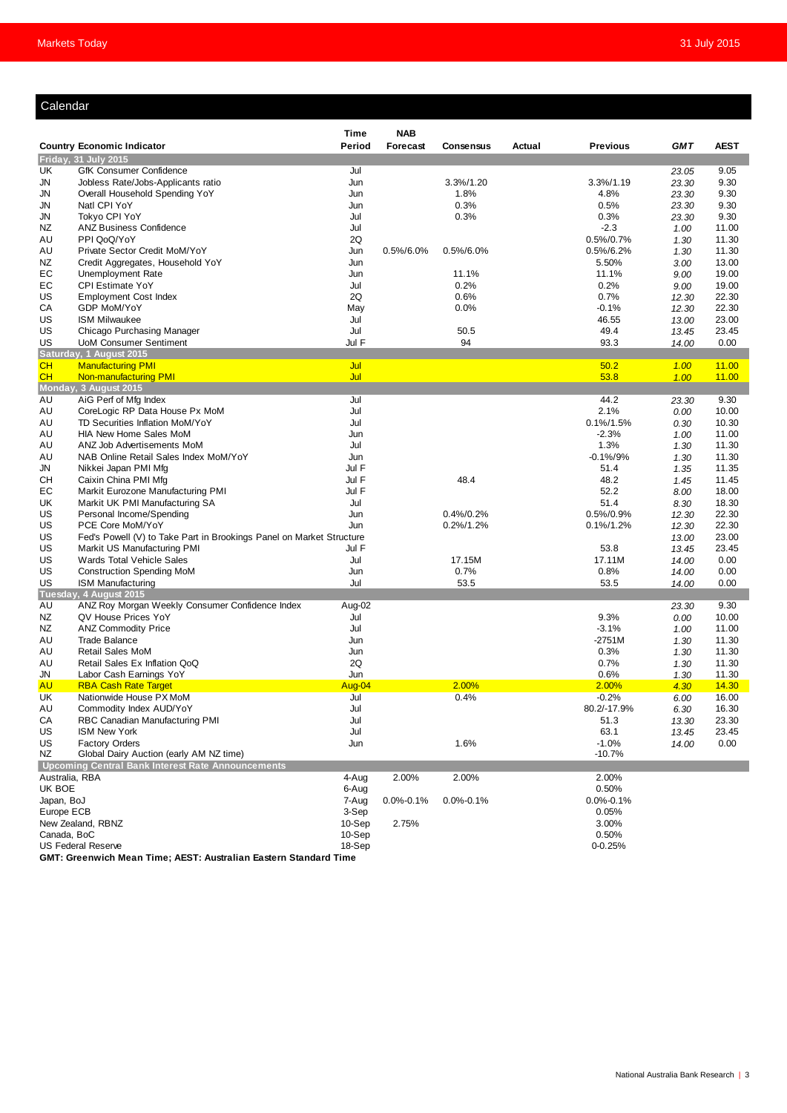#### Calendar

| Period<br><b>GMT</b><br><b>Country Economic Indicator</b><br>Forecast<br>Consensus<br>Actual<br><b>Previous</b><br><b>AEST</b><br>Friday, 31 July 2015<br>UK<br>GfK Consumer Confidence<br>Jul<br>9.05<br>23.05<br>3.3%/1.20<br>3.3%/1.19<br>9.30<br>JN<br>Jobless Rate/Jobs-Applicants ratio<br>Jun<br>23.30<br>JN<br>Overall Household Spending YoY<br>Jun<br>1.8%<br>4.8%<br>23.30<br>9.30<br>0.3%<br>0.5%<br>JN<br>Natl CPI YoY<br>Jun<br>9.30<br>23.30<br>JN<br>Tokyo CPI YoY<br>Jul<br>0.3%<br>0.3%<br>9.30<br>23.30<br>Jul<br>ΝZ<br><b>ANZ Business Confidence</b><br>$-2.3$<br>11.00<br>1.00<br>PPI QoQ/YoY<br>2Q<br>0.5%/0.7%<br>AU<br>11.30<br>1.30<br>Private Sector Credit MoM/YoY<br>Jun<br>0.5%/6.0%<br>0.5%/6.0%<br>$0.5\%/6.2\%$<br>11.30<br>AU<br>1.30<br>ΝZ<br>Credit Aggregates, Household YoY<br>Jun<br>5.50%<br>13.00<br>3.00<br>19.00<br>EС<br><b>Unemployment Rate</b><br>Jun<br>11.1%<br>11.1%<br>9.00<br>ЕC<br><b>CPI Estimate YoY</b><br>Jul<br>0.2%<br>0.2%<br>19.00<br>9.00<br>2Q<br>0.7%<br>US<br><b>Employment Cost Index</b><br>0.6%<br>12.30<br>22.30<br>$-0.1%$<br>СA<br>GDP MoM/YoY<br>May<br>0.0%<br>12.30<br>22.30<br>Jul<br>US<br><b>ISM Milwaukee</b><br>46.55<br>23.00<br>13.00<br>US<br>Jul<br>50.5<br>49.4<br>Chicago Purchasing Manager<br>23.45<br>13.45<br>94<br>Jul F<br>93.3<br>US<br><b>UoM Consumer Sentiment</b><br>14.00<br>0.00<br>Saturday, 1 August 2015<br>CH<br><b>Manufacturing PMI</b><br>Jul<br>50.2<br>11.00<br>1.00<br>CH<br>Non-manufacturing PMI<br>Jul<br>53.8<br>11.00<br>1.00<br>Monday, 3 August 2015<br>Jul<br>44.2<br>AU<br>AiG Perf of Mfg Index<br>9.30<br>23.30<br>Jul<br>2.1%<br>CoreLogic RP Data House Px MoM<br>AU<br>0.00<br>10.00<br>Jul<br>TD Securities Inflation MoM/YoY<br>$0.1\%/1.5\%$<br>10.30<br>AU<br>0.30<br>$-2.3%$<br>AU<br><b>HIA New Home Sales MoM</b><br>Jun<br>11.00<br>1.00<br>1.3%<br>AU<br>ANZ Job Advertisements MoM<br>Jul<br>1.30<br>11.30<br>NAB Online Retail Sales Index MoM/YoY<br>Jun<br>$-0.1\%/9\%$<br>1.30<br>11.30<br>AU<br>Jul F<br>JN<br>Nikkei Japan PMI Mfg<br>51.4<br>11.35<br>1.35<br>Jul F<br>48.4<br>48.2<br>CН<br>Caixin China PMI Mfg<br>11.45<br>1.45<br>Markit Eurozone Manufacturing PMI<br>52.2<br>EС<br>Jul F<br>18.00<br>8.00<br>UK<br>Markit UK PMI Manufacturing SA<br>Jul<br>51.4<br>18.30<br>8.30<br>US<br>Personal Income/Spending<br>Jun<br>0.4%/0.2%<br>$0.5\%/0.9\%$<br>22.30<br>12.30<br>US<br>PCE Core MoM/YoY<br>Jun<br>0.2%/1.2%<br>$0.1\%/1.2\%$<br>22.30<br>12.30<br>US<br>23.00<br>Fed's Powell (V) to Take Part in Brookings Panel on Market Structure<br>13.00<br>Jul F<br>US<br>Markit US Manufacturing PMI<br>53.8<br>13.45<br>23.45<br>Jul<br>17.11M<br>US<br>Wards Total Vehicle Sales<br>17.15M<br>14.00<br>0.00<br>US<br>0.7%<br>0.8%<br><b>Construction Spending MoM</b><br>Jun<br>14.00<br>0.00<br>US<br>Jul<br>53.5<br>53.5<br><b>ISM Manufacturing</b><br>0.00<br>14.00<br>Tuesday, 4 August 2015<br>Aug-02<br>ANZ Roy Morgan Weekly Consumer Confidence Index<br>9.30<br>AU<br>23.30<br>QV House Prices YoY<br>Jul<br>9.3%<br>ΝZ<br>10.00<br>0.00<br>Jul<br>$-3.1%$<br>NZ<br><b>ANZ Commodity Price</b><br>11.00<br>1.00<br>$-2751M$<br>AU<br><b>Trade Balance</b><br>Jun<br>1.30<br>11.30<br>0.3%<br>AU<br><b>Retail Sales MoM</b><br>Jun<br>1.30<br>11.30<br>2Q<br>0.7%<br>Retail Sales Ex Inflation QoQ<br>11.30<br>AU<br>1.30<br>0.6%<br>JN<br>Labor Cash Earnings YoY<br>Jun<br>1.30<br>11.30<br>2.00%<br>2.00%<br><b>AU</b><br><b>RBA Cash Rate Target</b><br>Aug-04<br>4.30<br>14.30<br>0.4%<br>$-0.2%$<br>UK<br>Nationwide House PX MoM<br>Jul<br>6.00<br>16.00<br>AU<br>Commodity Index AUD/YoY<br>Jul<br>80.2/-17.9%<br>16.30<br>6.30<br>CA<br>51.3<br>RBC Canadian Manufacturing PMI<br>Jul<br>23.30<br>13.30<br>US<br>63.1<br>23.45<br><b>ISM New York</b><br>Jul<br>13.45<br>US<br><b>Factory Orders</b><br>1.6%<br>$-1.0%$<br>0.00<br>Jun<br>14.00<br>NZ<br>Global Dairy Auction (early AM NZ time)<br>$-10.7%$<br>Upcoming Central Bank Interest Rate Announcements<br>Australia, RBA<br>4-Aug<br>2.00%<br>2.00%<br>2.00%<br>UK BOE<br>0.50%<br>6-Aug<br>Japan, BoJ<br>7-Aug<br>$0.0\% - 0.1\%$<br>$0.0\% - 0.1\%$<br>$0.0\% - 0.1\%$<br>Europe ECB<br>3-Sep<br>0.05%<br>New Zealand, RBNZ<br>10-Sep<br>2.75%<br>3.00%<br>0.50%<br>Canada, BoC<br>10-Sep<br><b>US Federal Reserve</b><br>18-Sep<br>0-0.25% |  |  | Time | <b>NAB</b> |  |  |  |
|------------------------------------------------------------------------------------------------------------------------------------------------------------------------------------------------------------------------------------------------------------------------------------------------------------------------------------------------------------------------------------------------------------------------------------------------------------------------------------------------------------------------------------------------------------------------------------------------------------------------------------------------------------------------------------------------------------------------------------------------------------------------------------------------------------------------------------------------------------------------------------------------------------------------------------------------------------------------------------------------------------------------------------------------------------------------------------------------------------------------------------------------------------------------------------------------------------------------------------------------------------------------------------------------------------------------------------------------------------------------------------------------------------------------------------------------------------------------------------------------------------------------------------------------------------------------------------------------------------------------------------------------------------------------------------------------------------------------------------------------------------------------------------------------------------------------------------------------------------------------------------------------------------------------------------------------------------------------------------------------------------------------------------------------------------------------------------------------------------------------------------------------------------------------------------------------------------------------------------------------------------------------------------------------------------------------------------------------------------------------------------------------------------------------------------------------------------------------------------------------------------------------------------------------------------------------------------------------------------------------------------------------------------------------------------------------------------------------------------------------------------------------------------------------------------------------------------------------------------------------------------------------------------------------------------------------------------------------------------------------------------------------------------------------------------------------------------------------------------------------------------------------------------------------------------------------------------------------------------------------------------------------------------------------------------------------------------------------------------------------------------------------------------------------------------------------------------------------------------------------------------------------------------------------------------------------------------------------------------------------------------------------------------------------------------------------------------------------------------------------------------------------------------------------------------------------------------------------------------------------------------------------------------------------------------------------------------------------------------------------------------------------------------------------------------------------------------------------------------------------------------------------------------------------------------------------------------------------------------------------------------------------------------------------------------------------------------------------------------------------------------|--|--|------|------------|--|--|--|
|                                                                                                                                                                                                                                                                                                                                                                                                                                                                                                                                                                                                                                                                                                                                                                                                                                                                                                                                                                                                                                                                                                                                                                                                                                                                                                                                                                                                                                                                                                                                                                                                                                                                                                                                                                                                                                                                                                                                                                                                                                                                                                                                                                                                                                                                                                                                                                                                                                                                                                                                                                                                                                                                                                                                                                                                                                                                                                                                                                                                                                                                                                                                                                                                                                                                                                                                                                                                                                                                                                                                                                                                                                                                                                                                                                                                                                                                                                                                                                                                                                                                                                                                                                                                                                                                                                                                                                                    |  |  |      |            |  |  |  |
|                                                                                                                                                                                                                                                                                                                                                                                                                                                                                                                                                                                                                                                                                                                                                                                                                                                                                                                                                                                                                                                                                                                                                                                                                                                                                                                                                                                                                                                                                                                                                                                                                                                                                                                                                                                                                                                                                                                                                                                                                                                                                                                                                                                                                                                                                                                                                                                                                                                                                                                                                                                                                                                                                                                                                                                                                                                                                                                                                                                                                                                                                                                                                                                                                                                                                                                                                                                                                                                                                                                                                                                                                                                                                                                                                                                                                                                                                                                                                                                                                                                                                                                                                                                                                                                                                                                                                                                    |  |  |      |            |  |  |  |
|                                                                                                                                                                                                                                                                                                                                                                                                                                                                                                                                                                                                                                                                                                                                                                                                                                                                                                                                                                                                                                                                                                                                                                                                                                                                                                                                                                                                                                                                                                                                                                                                                                                                                                                                                                                                                                                                                                                                                                                                                                                                                                                                                                                                                                                                                                                                                                                                                                                                                                                                                                                                                                                                                                                                                                                                                                                                                                                                                                                                                                                                                                                                                                                                                                                                                                                                                                                                                                                                                                                                                                                                                                                                                                                                                                                                                                                                                                                                                                                                                                                                                                                                                                                                                                                                                                                                                                                    |  |  |      |            |  |  |  |
|                                                                                                                                                                                                                                                                                                                                                                                                                                                                                                                                                                                                                                                                                                                                                                                                                                                                                                                                                                                                                                                                                                                                                                                                                                                                                                                                                                                                                                                                                                                                                                                                                                                                                                                                                                                                                                                                                                                                                                                                                                                                                                                                                                                                                                                                                                                                                                                                                                                                                                                                                                                                                                                                                                                                                                                                                                                                                                                                                                                                                                                                                                                                                                                                                                                                                                                                                                                                                                                                                                                                                                                                                                                                                                                                                                                                                                                                                                                                                                                                                                                                                                                                                                                                                                                                                                                                                                                    |  |  |      |            |  |  |  |
|                                                                                                                                                                                                                                                                                                                                                                                                                                                                                                                                                                                                                                                                                                                                                                                                                                                                                                                                                                                                                                                                                                                                                                                                                                                                                                                                                                                                                                                                                                                                                                                                                                                                                                                                                                                                                                                                                                                                                                                                                                                                                                                                                                                                                                                                                                                                                                                                                                                                                                                                                                                                                                                                                                                                                                                                                                                                                                                                                                                                                                                                                                                                                                                                                                                                                                                                                                                                                                                                                                                                                                                                                                                                                                                                                                                                                                                                                                                                                                                                                                                                                                                                                                                                                                                                                                                                                                                    |  |  |      |            |  |  |  |
|                                                                                                                                                                                                                                                                                                                                                                                                                                                                                                                                                                                                                                                                                                                                                                                                                                                                                                                                                                                                                                                                                                                                                                                                                                                                                                                                                                                                                                                                                                                                                                                                                                                                                                                                                                                                                                                                                                                                                                                                                                                                                                                                                                                                                                                                                                                                                                                                                                                                                                                                                                                                                                                                                                                                                                                                                                                                                                                                                                                                                                                                                                                                                                                                                                                                                                                                                                                                                                                                                                                                                                                                                                                                                                                                                                                                                                                                                                                                                                                                                                                                                                                                                                                                                                                                                                                                                                                    |  |  |      |            |  |  |  |
|                                                                                                                                                                                                                                                                                                                                                                                                                                                                                                                                                                                                                                                                                                                                                                                                                                                                                                                                                                                                                                                                                                                                                                                                                                                                                                                                                                                                                                                                                                                                                                                                                                                                                                                                                                                                                                                                                                                                                                                                                                                                                                                                                                                                                                                                                                                                                                                                                                                                                                                                                                                                                                                                                                                                                                                                                                                                                                                                                                                                                                                                                                                                                                                                                                                                                                                                                                                                                                                                                                                                                                                                                                                                                                                                                                                                                                                                                                                                                                                                                                                                                                                                                                                                                                                                                                                                                                                    |  |  |      |            |  |  |  |
|                                                                                                                                                                                                                                                                                                                                                                                                                                                                                                                                                                                                                                                                                                                                                                                                                                                                                                                                                                                                                                                                                                                                                                                                                                                                                                                                                                                                                                                                                                                                                                                                                                                                                                                                                                                                                                                                                                                                                                                                                                                                                                                                                                                                                                                                                                                                                                                                                                                                                                                                                                                                                                                                                                                                                                                                                                                                                                                                                                                                                                                                                                                                                                                                                                                                                                                                                                                                                                                                                                                                                                                                                                                                                                                                                                                                                                                                                                                                                                                                                                                                                                                                                                                                                                                                                                                                                                                    |  |  |      |            |  |  |  |
|                                                                                                                                                                                                                                                                                                                                                                                                                                                                                                                                                                                                                                                                                                                                                                                                                                                                                                                                                                                                                                                                                                                                                                                                                                                                                                                                                                                                                                                                                                                                                                                                                                                                                                                                                                                                                                                                                                                                                                                                                                                                                                                                                                                                                                                                                                                                                                                                                                                                                                                                                                                                                                                                                                                                                                                                                                                                                                                                                                                                                                                                                                                                                                                                                                                                                                                                                                                                                                                                                                                                                                                                                                                                                                                                                                                                                                                                                                                                                                                                                                                                                                                                                                                                                                                                                                                                                                                    |  |  |      |            |  |  |  |
|                                                                                                                                                                                                                                                                                                                                                                                                                                                                                                                                                                                                                                                                                                                                                                                                                                                                                                                                                                                                                                                                                                                                                                                                                                                                                                                                                                                                                                                                                                                                                                                                                                                                                                                                                                                                                                                                                                                                                                                                                                                                                                                                                                                                                                                                                                                                                                                                                                                                                                                                                                                                                                                                                                                                                                                                                                                                                                                                                                                                                                                                                                                                                                                                                                                                                                                                                                                                                                                                                                                                                                                                                                                                                                                                                                                                                                                                                                                                                                                                                                                                                                                                                                                                                                                                                                                                                                                    |  |  |      |            |  |  |  |
|                                                                                                                                                                                                                                                                                                                                                                                                                                                                                                                                                                                                                                                                                                                                                                                                                                                                                                                                                                                                                                                                                                                                                                                                                                                                                                                                                                                                                                                                                                                                                                                                                                                                                                                                                                                                                                                                                                                                                                                                                                                                                                                                                                                                                                                                                                                                                                                                                                                                                                                                                                                                                                                                                                                                                                                                                                                                                                                                                                                                                                                                                                                                                                                                                                                                                                                                                                                                                                                                                                                                                                                                                                                                                                                                                                                                                                                                                                                                                                                                                                                                                                                                                                                                                                                                                                                                                                                    |  |  |      |            |  |  |  |
|                                                                                                                                                                                                                                                                                                                                                                                                                                                                                                                                                                                                                                                                                                                                                                                                                                                                                                                                                                                                                                                                                                                                                                                                                                                                                                                                                                                                                                                                                                                                                                                                                                                                                                                                                                                                                                                                                                                                                                                                                                                                                                                                                                                                                                                                                                                                                                                                                                                                                                                                                                                                                                                                                                                                                                                                                                                                                                                                                                                                                                                                                                                                                                                                                                                                                                                                                                                                                                                                                                                                                                                                                                                                                                                                                                                                                                                                                                                                                                                                                                                                                                                                                                                                                                                                                                                                                                                    |  |  |      |            |  |  |  |
|                                                                                                                                                                                                                                                                                                                                                                                                                                                                                                                                                                                                                                                                                                                                                                                                                                                                                                                                                                                                                                                                                                                                                                                                                                                                                                                                                                                                                                                                                                                                                                                                                                                                                                                                                                                                                                                                                                                                                                                                                                                                                                                                                                                                                                                                                                                                                                                                                                                                                                                                                                                                                                                                                                                                                                                                                                                                                                                                                                                                                                                                                                                                                                                                                                                                                                                                                                                                                                                                                                                                                                                                                                                                                                                                                                                                                                                                                                                                                                                                                                                                                                                                                                                                                                                                                                                                                                                    |  |  |      |            |  |  |  |
|                                                                                                                                                                                                                                                                                                                                                                                                                                                                                                                                                                                                                                                                                                                                                                                                                                                                                                                                                                                                                                                                                                                                                                                                                                                                                                                                                                                                                                                                                                                                                                                                                                                                                                                                                                                                                                                                                                                                                                                                                                                                                                                                                                                                                                                                                                                                                                                                                                                                                                                                                                                                                                                                                                                                                                                                                                                                                                                                                                                                                                                                                                                                                                                                                                                                                                                                                                                                                                                                                                                                                                                                                                                                                                                                                                                                                                                                                                                                                                                                                                                                                                                                                                                                                                                                                                                                                                                    |  |  |      |            |  |  |  |
|                                                                                                                                                                                                                                                                                                                                                                                                                                                                                                                                                                                                                                                                                                                                                                                                                                                                                                                                                                                                                                                                                                                                                                                                                                                                                                                                                                                                                                                                                                                                                                                                                                                                                                                                                                                                                                                                                                                                                                                                                                                                                                                                                                                                                                                                                                                                                                                                                                                                                                                                                                                                                                                                                                                                                                                                                                                                                                                                                                                                                                                                                                                                                                                                                                                                                                                                                                                                                                                                                                                                                                                                                                                                                                                                                                                                                                                                                                                                                                                                                                                                                                                                                                                                                                                                                                                                                                                    |  |  |      |            |  |  |  |
|                                                                                                                                                                                                                                                                                                                                                                                                                                                                                                                                                                                                                                                                                                                                                                                                                                                                                                                                                                                                                                                                                                                                                                                                                                                                                                                                                                                                                                                                                                                                                                                                                                                                                                                                                                                                                                                                                                                                                                                                                                                                                                                                                                                                                                                                                                                                                                                                                                                                                                                                                                                                                                                                                                                                                                                                                                                                                                                                                                                                                                                                                                                                                                                                                                                                                                                                                                                                                                                                                                                                                                                                                                                                                                                                                                                                                                                                                                                                                                                                                                                                                                                                                                                                                                                                                                                                                                                    |  |  |      |            |  |  |  |
|                                                                                                                                                                                                                                                                                                                                                                                                                                                                                                                                                                                                                                                                                                                                                                                                                                                                                                                                                                                                                                                                                                                                                                                                                                                                                                                                                                                                                                                                                                                                                                                                                                                                                                                                                                                                                                                                                                                                                                                                                                                                                                                                                                                                                                                                                                                                                                                                                                                                                                                                                                                                                                                                                                                                                                                                                                                                                                                                                                                                                                                                                                                                                                                                                                                                                                                                                                                                                                                                                                                                                                                                                                                                                                                                                                                                                                                                                                                                                                                                                                                                                                                                                                                                                                                                                                                                                                                    |  |  |      |            |  |  |  |
|                                                                                                                                                                                                                                                                                                                                                                                                                                                                                                                                                                                                                                                                                                                                                                                                                                                                                                                                                                                                                                                                                                                                                                                                                                                                                                                                                                                                                                                                                                                                                                                                                                                                                                                                                                                                                                                                                                                                                                                                                                                                                                                                                                                                                                                                                                                                                                                                                                                                                                                                                                                                                                                                                                                                                                                                                                                                                                                                                                                                                                                                                                                                                                                                                                                                                                                                                                                                                                                                                                                                                                                                                                                                                                                                                                                                                                                                                                                                                                                                                                                                                                                                                                                                                                                                                                                                                                                    |  |  |      |            |  |  |  |
|                                                                                                                                                                                                                                                                                                                                                                                                                                                                                                                                                                                                                                                                                                                                                                                                                                                                                                                                                                                                                                                                                                                                                                                                                                                                                                                                                                                                                                                                                                                                                                                                                                                                                                                                                                                                                                                                                                                                                                                                                                                                                                                                                                                                                                                                                                                                                                                                                                                                                                                                                                                                                                                                                                                                                                                                                                                                                                                                                                                                                                                                                                                                                                                                                                                                                                                                                                                                                                                                                                                                                                                                                                                                                                                                                                                                                                                                                                                                                                                                                                                                                                                                                                                                                                                                                                                                                                                    |  |  |      |            |  |  |  |
|                                                                                                                                                                                                                                                                                                                                                                                                                                                                                                                                                                                                                                                                                                                                                                                                                                                                                                                                                                                                                                                                                                                                                                                                                                                                                                                                                                                                                                                                                                                                                                                                                                                                                                                                                                                                                                                                                                                                                                                                                                                                                                                                                                                                                                                                                                                                                                                                                                                                                                                                                                                                                                                                                                                                                                                                                                                                                                                                                                                                                                                                                                                                                                                                                                                                                                                                                                                                                                                                                                                                                                                                                                                                                                                                                                                                                                                                                                                                                                                                                                                                                                                                                                                                                                                                                                                                                                                    |  |  |      |            |  |  |  |
|                                                                                                                                                                                                                                                                                                                                                                                                                                                                                                                                                                                                                                                                                                                                                                                                                                                                                                                                                                                                                                                                                                                                                                                                                                                                                                                                                                                                                                                                                                                                                                                                                                                                                                                                                                                                                                                                                                                                                                                                                                                                                                                                                                                                                                                                                                                                                                                                                                                                                                                                                                                                                                                                                                                                                                                                                                                                                                                                                                                                                                                                                                                                                                                                                                                                                                                                                                                                                                                                                                                                                                                                                                                                                                                                                                                                                                                                                                                                                                                                                                                                                                                                                                                                                                                                                                                                                                                    |  |  |      |            |  |  |  |
|                                                                                                                                                                                                                                                                                                                                                                                                                                                                                                                                                                                                                                                                                                                                                                                                                                                                                                                                                                                                                                                                                                                                                                                                                                                                                                                                                                                                                                                                                                                                                                                                                                                                                                                                                                                                                                                                                                                                                                                                                                                                                                                                                                                                                                                                                                                                                                                                                                                                                                                                                                                                                                                                                                                                                                                                                                                                                                                                                                                                                                                                                                                                                                                                                                                                                                                                                                                                                                                                                                                                                                                                                                                                                                                                                                                                                                                                                                                                                                                                                                                                                                                                                                                                                                                                                                                                                                                    |  |  |      |            |  |  |  |
|                                                                                                                                                                                                                                                                                                                                                                                                                                                                                                                                                                                                                                                                                                                                                                                                                                                                                                                                                                                                                                                                                                                                                                                                                                                                                                                                                                                                                                                                                                                                                                                                                                                                                                                                                                                                                                                                                                                                                                                                                                                                                                                                                                                                                                                                                                                                                                                                                                                                                                                                                                                                                                                                                                                                                                                                                                                                                                                                                                                                                                                                                                                                                                                                                                                                                                                                                                                                                                                                                                                                                                                                                                                                                                                                                                                                                                                                                                                                                                                                                                                                                                                                                                                                                                                                                                                                                                                    |  |  |      |            |  |  |  |
|                                                                                                                                                                                                                                                                                                                                                                                                                                                                                                                                                                                                                                                                                                                                                                                                                                                                                                                                                                                                                                                                                                                                                                                                                                                                                                                                                                                                                                                                                                                                                                                                                                                                                                                                                                                                                                                                                                                                                                                                                                                                                                                                                                                                                                                                                                                                                                                                                                                                                                                                                                                                                                                                                                                                                                                                                                                                                                                                                                                                                                                                                                                                                                                                                                                                                                                                                                                                                                                                                                                                                                                                                                                                                                                                                                                                                                                                                                                                                                                                                                                                                                                                                                                                                                                                                                                                                                                    |  |  |      |            |  |  |  |
|                                                                                                                                                                                                                                                                                                                                                                                                                                                                                                                                                                                                                                                                                                                                                                                                                                                                                                                                                                                                                                                                                                                                                                                                                                                                                                                                                                                                                                                                                                                                                                                                                                                                                                                                                                                                                                                                                                                                                                                                                                                                                                                                                                                                                                                                                                                                                                                                                                                                                                                                                                                                                                                                                                                                                                                                                                                                                                                                                                                                                                                                                                                                                                                                                                                                                                                                                                                                                                                                                                                                                                                                                                                                                                                                                                                                                                                                                                                                                                                                                                                                                                                                                                                                                                                                                                                                                                                    |  |  |      |            |  |  |  |
|                                                                                                                                                                                                                                                                                                                                                                                                                                                                                                                                                                                                                                                                                                                                                                                                                                                                                                                                                                                                                                                                                                                                                                                                                                                                                                                                                                                                                                                                                                                                                                                                                                                                                                                                                                                                                                                                                                                                                                                                                                                                                                                                                                                                                                                                                                                                                                                                                                                                                                                                                                                                                                                                                                                                                                                                                                                                                                                                                                                                                                                                                                                                                                                                                                                                                                                                                                                                                                                                                                                                                                                                                                                                                                                                                                                                                                                                                                                                                                                                                                                                                                                                                                                                                                                                                                                                                                                    |  |  |      |            |  |  |  |
|                                                                                                                                                                                                                                                                                                                                                                                                                                                                                                                                                                                                                                                                                                                                                                                                                                                                                                                                                                                                                                                                                                                                                                                                                                                                                                                                                                                                                                                                                                                                                                                                                                                                                                                                                                                                                                                                                                                                                                                                                                                                                                                                                                                                                                                                                                                                                                                                                                                                                                                                                                                                                                                                                                                                                                                                                                                                                                                                                                                                                                                                                                                                                                                                                                                                                                                                                                                                                                                                                                                                                                                                                                                                                                                                                                                                                                                                                                                                                                                                                                                                                                                                                                                                                                                                                                                                                                                    |  |  |      |            |  |  |  |
|                                                                                                                                                                                                                                                                                                                                                                                                                                                                                                                                                                                                                                                                                                                                                                                                                                                                                                                                                                                                                                                                                                                                                                                                                                                                                                                                                                                                                                                                                                                                                                                                                                                                                                                                                                                                                                                                                                                                                                                                                                                                                                                                                                                                                                                                                                                                                                                                                                                                                                                                                                                                                                                                                                                                                                                                                                                                                                                                                                                                                                                                                                                                                                                                                                                                                                                                                                                                                                                                                                                                                                                                                                                                                                                                                                                                                                                                                                                                                                                                                                                                                                                                                                                                                                                                                                                                                                                    |  |  |      |            |  |  |  |
|                                                                                                                                                                                                                                                                                                                                                                                                                                                                                                                                                                                                                                                                                                                                                                                                                                                                                                                                                                                                                                                                                                                                                                                                                                                                                                                                                                                                                                                                                                                                                                                                                                                                                                                                                                                                                                                                                                                                                                                                                                                                                                                                                                                                                                                                                                                                                                                                                                                                                                                                                                                                                                                                                                                                                                                                                                                                                                                                                                                                                                                                                                                                                                                                                                                                                                                                                                                                                                                                                                                                                                                                                                                                                                                                                                                                                                                                                                                                                                                                                                                                                                                                                                                                                                                                                                                                                                                    |  |  |      |            |  |  |  |
|                                                                                                                                                                                                                                                                                                                                                                                                                                                                                                                                                                                                                                                                                                                                                                                                                                                                                                                                                                                                                                                                                                                                                                                                                                                                                                                                                                                                                                                                                                                                                                                                                                                                                                                                                                                                                                                                                                                                                                                                                                                                                                                                                                                                                                                                                                                                                                                                                                                                                                                                                                                                                                                                                                                                                                                                                                                                                                                                                                                                                                                                                                                                                                                                                                                                                                                                                                                                                                                                                                                                                                                                                                                                                                                                                                                                                                                                                                                                                                                                                                                                                                                                                                                                                                                                                                                                                                                    |  |  |      |            |  |  |  |
|                                                                                                                                                                                                                                                                                                                                                                                                                                                                                                                                                                                                                                                                                                                                                                                                                                                                                                                                                                                                                                                                                                                                                                                                                                                                                                                                                                                                                                                                                                                                                                                                                                                                                                                                                                                                                                                                                                                                                                                                                                                                                                                                                                                                                                                                                                                                                                                                                                                                                                                                                                                                                                                                                                                                                                                                                                                                                                                                                                                                                                                                                                                                                                                                                                                                                                                                                                                                                                                                                                                                                                                                                                                                                                                                                                                                                                                                                                                                                                                                                                                                                                                                                                                                                                                                                                                                                                                    |  |  |      |            |  |  |  |
|                                                                                                                                                                                                                                                                                                                                                                                                                                                                                                                                                                                                                                                                                                                                                                                                                                                                                                                                                                                                                                                                                                                                                                                                                                                                                                                                                                                                                                                                                                                                                                                                                                                                                                                                                                                                                                                                                                                                                                                                                                                                                                                                                                                                                                                                                                                                                                                                                                                                                                                                                                                                                                                                                                                                                                                                                                                                                                                                                                                                                                                                                                                                                                                                                                                                                                                                                                                                                                                                                                                                                                                                                                                                                                                                                                                                                                                                                                                                                                                                                                                                                                                                                                                                                                                                                                                                                                                    |  |  |      |            |  |  |  |
|                                                                                                                                                                                                                                                                                                                                                                                                                                                                                                                                                                                                                                                                                                                                                                                                                                                                                                                                                                                                                                                                                                                                                                                                                                                                                                                                                                                                                                                                                                                                                                                                                                                                                                                                                                                                                                                                                                                                                                                                                                                                                                                                                                                                                                                                                                                                                                                                                                                                                                                                                                                                                                                                                                                                                                                                                                                                                                                                                                                                                                                                                                                                                                                                                                                                                                                                                                                                                                                                                                                                                                                                                                                                                                                                                                                                                                                                                                                                                                                                                                                                                                                                                                                                                                                                                                                                                                                    |  |  |      |            |  |  |  |
|                                                                                                                                                                                                                                                                                                                                                                                                                                                                                                                                                                                                                                                                                                                                                                                                                                                                                                                                                                                                                                                                                                                                                                                                                                                                                                                                                                                                                                                                                                                                                                                                                                                                                                                                                                                                                                                                                                                                                                                                                                                                                                                                                                                                                                                                                                                                                                                                                                                                                                                                                                                                                                                                                                                                                                                                                                                                                                                                                                                                                                                                                                                                                                                                                                                                                                                                                                                                                                                                                                                                                                                                                                                                                                                                                                                                                                                                                                                                                                                                                                                                                                                                                                                                                                                                                                                                                                                    |  |  |      |            |  |  |  |
|                                                                                                                                                                                                                                                                                                                                                                                                                                                                                                                                                                                                                                                                                                                                                                                                                                                                                                                                                                                                                                                                                                                                                                                                                                                                                                                                                                                                                                                                                                                                                                                                                                                                                                                                                                                                                                                                                                                                                                                                                                                                                                                                                                                                                                                                                                                                                                                                                                                                                                                                                                                                                                                                                                                                                                                                                                                                                                                                                                                                                                                                                                                                                                                                                                                                                                                                                                                                                                                                                                                                                                                                                                                                                                                                                                                                                                                                                                                                                                                                                                                                                                                                                                                                                                                                                                                                                                                    |  |  |      |            |  |  |  |
|                                                                                                                                                                                                                                                                                                                                                                                                                                                                                                                                                                                                                                                                                                                                                                                                                                                                                                                                                                                                                                                                                                                                                                                                                                                                                                                                                                                                                                                                                                                                                                                                                                                                                                                                                                                                                                                                                                                                                                                                                                                                                                                                                                                                                                                                                                                                                                                                                                                                                                                                                                                                                                                                                                                                                                                                                                                                                                                                                                                                                                                                                                                                                                                                                                                                                                                                                                                                                                                                                                                                                                                                                                                                                                                                                                                                                                                                                                                                                                                                                                                                                                                                                                                                                                                                                                                                                                                    |  |  |      |            |  |  |  |
|                                                                                                                                                                                                                                                                                                                                                                                                                                                                                                                                                                                                                                                                                                                                                                                                                                                                                                                                                                                                                                                                                                                                                                                                                                                                                                                                                                                                                                                                                                                                                                                                                                                                                                                                                                                                                                                                                                                                                                                                                                                                                                                                                                                                                                                                                                                                                                                                                                                                                                                                                                                                                                                                                                                                                                                                                                                                                                                                                                                                                                                                                                                                                                                                                                                                                                                                                                                                                                                                                                                                                                                                                                                                                                                                                                                                                                                                                                                                                                                                                                                                                                                                                                                                                                                                                                                                                                                    |  |  |      |            |  |  |  |
|                                                                                                                                                                                                                                                                                                                                                                                                                                                                                                                                                                                                                                                                                                                                                                                                                                                                                                                                                                                                                                                                                                                                                                                                                                                                                                                                                                                                                                                                                                                                                                                                                                                                                                                                                                                                                                                                                                                                                                                                                                                                                                                                                                                                                                                                                                                                                                                                                                                                                                                                                                                                                                                                                                                                                                                                                                                                                                                                                                                                                                                                                                                                                                                                                                                                                                                                                                                                                                                                                                                                                                                                                                                                                                                                                                                                                                                                                                                                                                                                                                                                                                                                                                                                                                                                                                                                                                                    |  |  |      |            |  |  |  |
|                                                                                                                                                                                                                                                                                                                                                                                                                                                                                                                                                                                                                                                                                                                                                                                                                                                                                                                                                                                                                                                                                                                                                                                                                                                                                                                                                                                                                                                                                                                                                                                                                                                                                                                                                                                                                                                                                                                                                                                                                                                                                                                                                                                                                                                                                                                                                                                                                                                                                                                                                                                                                                                                                                                                                                                                                                                                                                                                                                                                                                                                                                                                                                                                                                                                                                                                                                                                                                                                                                                                                                                                                                                                                                                                                                                                                                                                                                                                                                                                                                                                                                                                                                                                                                                                                                                                                                                    |  |  |      |            |  |  |  |
|                                                                                                                                                                                                                                                                                                                                                                                                                                                                                                                                                                                                                                                                                                                                                                                                                                                                                                                                                                                                                                                                                                                                                                                                                                                                                                                                                                                                                                                                                                                                                                                                                                                                                                                                                                                                                                                                                                                                                                                                                                                                                                                                                                                                                                                                                                                                                                                                                                                                                                                                                                                                                                                                                                                                                                                                                                                                                                                                                                                                                                                                                                                                                                                                                                                                                                                                                                                                                                                                                                                                                                                                                                                                                                                                                                                                                                                                                                                                                                                                                                                                                                                                                                                                                                                                                                                                                                                    |  |  |      |            |  |  |  |
|                                                                                                                                                                                                                                                                                                                                                                                                                                                                                                                                                                                                                                                                                                                                                                                                                                                                                                                                                                                                                                                                                                                                                                                                                                                                                                                                                                                                                                                                                                                                                                                                                                                                                                                                                                                                                                                                                                                                                                                                                                                                                                                                                                                                                                                                                                                                                                                                                                                                                                                                                                                                                                                                                                                                                                                                                                                                                                                                                                                                                                                                                                                                                                                                                                                                                                                                                                                                                                                                                                                                                                                                                                                                                                                                                                                                                                                                                                                                                                                                                                                                                                                                                                                                                                                                                                                                                                                    |  |  |      |            |  |  |  |
|                                                                                                                                                                                                                                                                                                                                                                                                                                                                                                                                                                                                                                                                                                                                                                                                                                                                                                                                                                                                                                                                                                                                                                                                                                                                                                                                                                                                                                                                                                                                                                                                                                                                                                                                                                                                                                                                                                                                                                                                                                                                                                                                                                                                                                                                                                                                                                                                                                                                                                                                                                                                                                                                                                                                                                                                                                                                                                                                                                                                                                                                                                                                                                                                                                                                                                                                                                                                                                                                                                                                                                                                                                                                                                                                                                                                                                                                                                                                                                                                                                                                                                                                                                                                                                                                                                                                                                                    |  |  |      |            |  |  |  |
|                                                                                                                                                                                                                                                                                                                                                                                                                                                                                                                                                                                                                                                                                                                                                                                                                                                                                                                                                                                                                                                                                                                                                                                                                                                                                                                                                                                                                                                                                                                                                                                                                                                                                                                                                                                                                                                                                                                                                                                                                                                                                                                                                                                                                                                                                                                                                                                                                                                                                                                                                                                                                                                                                                                                                                                                                                                                                                                                                                                                                                                                                                                                                                                                                                                                                                                                                                                                                                                                                                                                                                                                                                                                                                                                                                                                                                                                                                                                                                                                                                                                                                                                                                                                                                                                                                                                                                                    |  |  |      |            |  |  |  |
|                                                                                                                                                                                                                                                                                                                                                                                                                                                                                                                                                                                                                                                                                                                                                                                                                                                                                                                                                                                                                                                                                                                                                                                                                                                                                                                                                                                                                                                                                                                                                                                                                                                                                                                                                                                                                                                                                                                                                                                                                                                                                                                                                                                                                                                                                                                                                                                                                                                                                                                                                                                                                                                                                                                                                                                                                                                                                                                                                                                                                                                                                                                                                                                                                                                                                                                                                                                                                                                                                                                                                                                                                                                                                                                                                                                                                                                                                                                                                                                                                                                                                                                                                                                                                                                                                                                                                                                    |  |  |      |            |  |  |  |
|                                                                                                                                                                                                                                                                                                                                                                                                                                                                                                                                                                                                                                                                                                                                                                                                                                                                                                                                                                                                                                                                                                                                                                                                                                                                                                                                                                                                                                                                                                                                                                                                                                                                                                                                                                                                                                                                                                                                                                                                                                                                                                                                                                                                                                                                                                                                                                                                                                                                                                                                                                                                                                                                                                                                                                                                                                                                                                                                                                                                                                                                                                                                                                                                                                                                                                                                                                                                                                                                                                                                                                                                                                                                                                                                                                                                                                                                                                                                                                                                                                                                                                                                                                                                                                                                                                                                                                                    |  |  |      |            |  |  |  |
|                                                                                                                                                                                                                                                                                                                                                                                                                                                                                                                                                                                                                                                                                                                                                                                                                                                                                                                                                                                                                                                                                                                                                                                                                                                                                                                                                                                                                                                                                                                                                                                                                                                                                                                                                                                                                                                                                                                                                                                                                                                                                                                                                                                                                                                                                                                                                                                                                                                                                                                                                                                                                                                                                                                                                                                                                                                                                                                                                                                                                                                                                                                                                                                                                                                                                                                                                                                                                                                                                                                                                                                                                                                                                                                                                                                                                                                                                                                                                                                                                                                                                                                                                                                                                                                                                                                                                                                    |  |  |      |            |  |  |  |
|                                                                                                                                                                                                                                                                                                                                                                                                                                                                                                                                                                                                                                                                                                                                                                                                                                                                                                                                                                                                                                                                                                                                                                                                                                                                                                                                                                                                                                                                                                                                                                                                                                                                                                                                                                                                                                                                                                                                                                                                                                                                                                                                                                                                                                                                                                                                                                                                                                                                                                                                                                                                                                                                                                                                                                                                                                                                                                                                                                                                                                                                                                                                                                                                                                                                                                                                                                                                                                                                                                                                                                                                                                                                                                                                                                                                                                                                                                                                                                                                                                                                                                                                                                                                                                                                                                                                                                                    |  |  |      |            |  |  |  |
|                                                                                                                                                                                                                                                                                                                                                                                                                                                                                                                                                                                                                                                                                                                                                                                                                                                                                                                                                                                                                                                                                                                                                                                                                                                                                                                                                                                                                                                                                                                                                                                                                                                                                                                                                                                                                                                                                                                                                                                                                                                                                                                                                                                                                                                                                                                                                                                                                                                                                                                                                                                                                                                                                                                                                                                                                                                                                                                                                                                                                                                                                                                                                                                                                                                                                                                                                                                                                                                                                                                                                                                                                                                                                                                                                                                                                                                                                                                                                                                                                                                                                                                                                                                                                                                                                                                                                                                    |  |  |      |            |  |  |  |
|                                                                                                                                                                                                                                                                                                                                                                                                                                                                                                                                                                                                                                                                                                                                                                                                                                                                                                                                                                                                                                                                                                                                                                                                                                                                                                                                                                                                                                                                                                                                                                                                                                                                                                                                                                                                                                                                                                                                                                                                                                                                                                                                                                                                                                                                                                                                                                                                                                                                                                                                                                                                                                                                                                                                                                                                                                                                                                                                                                                                                                                                                                                                                                                                                                                                                                                                                                                                                                                                                                                                                                                                                                                                                                                                                                                                                                                                                                                                                                                                                                                                                                                                                                                                                                                                                                                                                                                    |  |  |      |            |  |  |  |
|                                                                                                                                                                                                                                                                                                                                                                                                                                                                                                                                                                                                                                                                                                                                                                                                                                                                                                                                                                                                                                                                                                                                                                                                                                                                                                                                                                                                                                                                                                                                                                                                                                                                                                                                                                                                                                                                                                                                                                                                                                                                                                                                                                                                                                                                                                                                                                                                                                                                                                                                                                                                                                                                                                                                                                                                                                                                                                                                                                                                                                                                                                                                                                                                                                                                                                                                                                                                                                                                                                                                                                                                                                                                                                                                                                                                                                                                                                                                                                                                                                                                                                                                                                                                                                                                                                                                                                                    |  |  |      |            |  |  |  |
|                                                                                                                                                                                                                                                                                                                                                                                                                                                                                                                                                                                                                                                                                                                                                                                                                                                                                                                                                                                                                                                                                                                                                                                                                                                                                                                                                                                                                                                                                                                                                                                                                                                                                                                                                                                                                                                                                                                                                                                                                                                                                                                                                                                                                                                                                                                                                                                                                                                                                                                                                                                                                                                                                                                                                                                                                                                                                                                                                                                                                                                                                                                                                                                                                                                                                                                                                                                                                                                                                                                                                                                                                                                                                                                                                                                                                                                                                                                                                                                                                                                                                                                                                                                                                                                                                                                                                                                    |  |  |      |            |  |  |  |
|                                                                                                                                                                                                                                                                                                                                                                                                                                                                                                                                                                                                                                                                                                                                                                                                                                                                                                                                                                                                                                                                                                                                                                                                                                                                                                                                                                                                                                                                                                                                                                                                                                                                                                                                                                                                                                                                                                                                                                                                                                                                                                                                                                                                                                                                                                                                                                                                                                                                                                                                                                                                                                                                                                                                                                                                                                                                                                                                                                                                                                                                                                                                                                                                                                                                                                                                                                                                                                                                                                                                                                                                                                                                                                                                                                                                                                                                                                                                                                                                                                                                                                                                                                                                                                                                                                                                                                                    |  |  |      |            |  |  |  |
|                                                                                                                                                                                                                                                                                                                                                                                                                                                                                                                                                                                                                                                                                                                                                                                                                                                                                                                                                                                                                                                                                                                                                                                                                                                                                                                                                                                                                                                                                                                                                                                                                                                                                                                                                                                                                                                                                                                                                                                                                                                                                                                                                                                                                                                                                                                                                                                                                                                                                                                                                                                                                                                                                                                                                                                                                                                                                                                                                                                                                                                                                                                                                                                                                                                                                                                                                                                                                                                                                                                                                                                                                                                                                                                                                                                                                                                                                                                                                                                                                                                                                                                                                                                                                                                                                                                                                                                    |  |  |      |            |  |  |  |
|                                                                                                                                                                                                                                                                                                                                                                                                                                                                                                                                                                                                                                                                                                                                                                                                                                                                                                                                                                                                                                                                                                                                                                                                                                                                                                                                                                                                                                                                                                                                                                                                                                                                                                                                                                                                                                                                                                                                                                                                                                                                                                                                                                                                                                                                                                                                                                                                                                                                                                                                                                                                                                                                                                                                                                                                                                                                                                                                                                                                                                                                                                                                                                                                                                                                                                                                                                                                                                                                                                                                                                                                                                                                                                                                                                                                                                                                                                                                                                                                                                                                                                                                                                                                                                                                                                                                                                                    |  |  |      |            |  |  |  |
|                                                                                                                                                                                                                                                                                                                                                                                                                                                                                                                                                                                                                                                                                                                                                                                                                                                                                                                                                                                                                                                                                                                                                                                                                                                                                                                                                                                                                                                                                                                                                                                                                                                                                                                                                                                                                                                                                                                                                                                                                                                                                                                                                                                                                                                                                                                                                                                                                                                                                                                                                                                                                                                                                                                                                                                                                                                                                                                                                                                                                                                                                                                                                                                                                                                                                                                                                                                                                                                                                                                                                                                                                                                                                                                                                                                                                                                                                                                                                                                                                                                                                                                                                                                                                                                                                                                                                                                    |  |  |      |            |  |  |  |
|                                                                                                                                                                                                                                                                                                                                                                                                                                                                                                                                                                                                                                                                                                                                                                                                                                                                                                                                                                                                                                                                                                                                                                                                                                                                                                                                                                                                                                                                                                                                                                                                                                                                                                                                                                                                                                                                                                                                                                                                                                                                                                                                                                                                                                                                                                                                                                                                                                                                                                                                                                                                                                                                                                                                                                                                                                                                                                                                                                                                                                                                                                                                                                                                                                                                                                                                                                                                                                                                                                                                                                                                                                                                                                                                                                                                                                                                                                                                                                                                                                                                                                                                                                                                                                                                                                                                                                                    |  |  |      |            |  |  |  |
|                                                                                                                                                                                                                                                                                                                                                                                                                                                                                                                                                                                                                                                                                                                                                                                                                                                                                                                                                                                                                                                                                                                                                                                                                                                                                                                                                                                                                                                                                                                                                                                                                                                                                                                                                                                                                                                                                                                                                                                                                                                                                                                                                                                                                                                                                                                                                                                                                                                                                                                                                                                                                                                                                                                                                                                                                                                                                                                                                                                                                                                                                                                                                                                                                                                                                                                                                                                                                                                                                                                                                                                                                                                                                                                                                                                                                                                                                                                                                                                                                                                                                                                                                                                                                                                                                                                                                                                    |  |  |      |            |  |  |  |
|                                                                                                                                                                                                                                                                                                                                                                                                                                                                                                                                                                                                                                                                                                                                                                                                                                                                                                                                                                                                                                                                                                                                                                                                                                                                                                                                                                                                                                                                                                                                                                                                                                                                                                                                                                                                                                                                                                                                                                                                                                                                                                                                                                                                                                                                                                                                                                                                                                                                                                                                                                                                                                                                                                                                                                                                                                                                                                                                                                                                                                                                                                                                                                                                                                                                                                                                                                                                                                                                                                                                                                                                                                                                                                                                                                                                                                                                                                                                                                                                                                                                                                                                                                                                                                                                                                                                                                                    |  |  |      |            |  |  |  |
|                                                                                                                                                                                                                                                                                                                                                                                                                                                                                                                                                                                                                                                                                                                                                                                                                                                                                                                                                                                                                                                                                                                                                                                                                                                                                                                                                                                                                                                                                                                                                                                                                                                                                                                                                                                                                                                                                                                                                                                                                                                                                                                                                                                                                                                                                                                                                                                                                                                                                                                                                                                                                                                                                                                                                                                                                                                                                                                                                                                                                                                                                                                                                                                                                                                                                                                                                                                                                                                                                                                                                                                                                                                                                                                                                                                                                                                                                                                                                                                                                                                                                                                                                                                                                                                                                                                                                                                    |  |  |      |            |  |  |  |
|                                                                                                                                                                                                                                                                                                                                                                                                                                                                                                                                                                                                                                                                                                                                                                                                                                                                                                                                                                                                                                                                                                                                                                                                                                                                                                                                                                                                                                                                                                                                                                                                                                                                                                                                                                                                                                                                                                                                                                                                                                                                                                                                                                                                                                                                                                                                                                                                                                                                                                                                                                                                                                                                                                                                                                                                                                                                                                                                                                                                                                                                                                                                                                                                                                                                                                                                                                                                                                                                                                                                                                                                                                                                                                                                                                                                                                                                                                                                                                                                                                                                                                                                                                                                                                                                                                                                                                                    |  |  |      |            |  |  |  |
|                                                                                                                                                                                                                                                                                                                                                                                                                                                                                                                                                                                                                                                                                                                                                                                                                                                                                                                                                                                                                                                                                                                                                                                                                                                                                                                                                                                                                                                                                                                                                                                                                                                                                                                                                                                                                                                                                                                                                                                                                                                                                                                                                                                                                                                                                                                                                                                                                                                                                                                                                                                                                                                                                                                                                                                                                                                                                                                                                                                                                                                                                                                                                                                                                                                                                                                                                                                                                                                                                                                                                                                                                                                                                                                                                                                                                                                                                                                                                                                                                                                                                                                                                                                                                                                                                                                                                                                    |  |  |      |            |  |  |  |

**GMT: Greenwich Mean Time; AEST: Australian Eastern Standard Time**